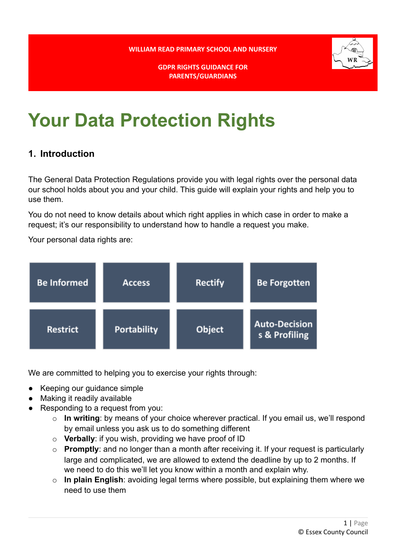**GDPR RIGHTS GUIDANCE FOR PARENTS/GUARDIANS**

# **Your Data Protection Rights**

#### **1. Introduction**

The General Data Protection Regulations provide you with legal rights over the personal data our school holds about you and your child. This guide will explain your rights and help you to use them.

You do not need to know details about which right applies in which case in order to make a request; it's our responsibility to understand how to handle a request you make.

Your personal data rights are:

| <b>Be Informed</b> | <b>Access</b>      | <b>Rectify</b> | <b>Be Forgotten</b>                   |
|--------------------|--------------------|----------------|---------------------------------------|
| <b>Restrict</b>    | <b>Portability</b> | Object         | <b>Auto-Decision</b><br>s & Profiling |

We are committed to helping you to exercise your rights through:

- Keeping our guidance simple
- Making it readily available
- Responding to a request from you:
	- o **In writing**: by means of your choice wherever practical. If you email us, we'll respond by email unless you ask us to do something different
	- o **Verbally**: if you wish, providing we have proof of ID
	- o **Promptly**: and no longer than a month after receiving it. If your request is particularly large and complicated, we are allowed to extend the deadline by up to 2 months. If we need to do this we'll let you know within a month and explain why.
	- o **In plain English**: avoiding legal terms where possible, but explaining them where we need to use them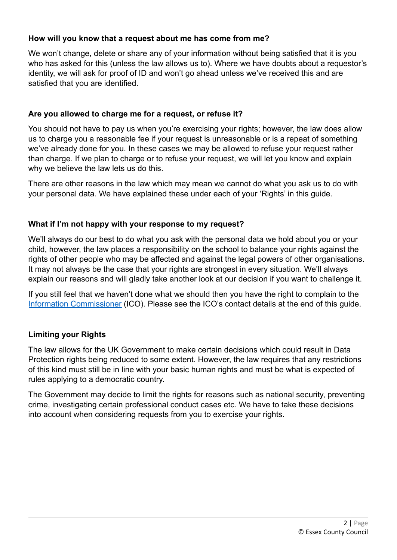#### **How will you know that a request about me has come from me?**

We won't change, delete or share any of your information without being satisfied that it is you who has asked for this (unless the law allows us to). Where we have doubts about a requestor's identity, we will ask for proof of ID and won't go ahead unless we've received this and are satisfied that you are identified.

#### **Are you allowed to charge me for a request, or refuse it?**

You should not have to pay us when you're exercising your rights; however, the law does allow us to charge you a reasonable fee if your request is unreasonable or is a repeat of something we've already done for you. In these cases we may be allowed to refuse your request rather than charge. If we plan to charge or to refuse your request, we will let you know and explain why we believe the law lets us do this.

There are other reasons in the law which may mean we cannot do what you ask us to do with your personal data. We have explained these under each of your 'Rights' in this guide.

#### **What if I'm not happy with your response to my request?**

We'll always do our best to do what you ask with the personal data we hold about you or your child, however, the law places a responsibility on the school to balance your rights against the rights of other people who may be affected and against the legal powers of other organisations. It may not always be the case that your rights are strongest in every situation. We'll always explain our reasons and will gladly take another look at our decision if you want to challenge it.

If you still feel that we haven't done what we should then you have the right to complain to the [Information Commissioner](https://ico.org.uk/) (ICO). Please see the ICO's contact details at the end of this guide.

#### **Limiting your Rights**

The law allows for the UK Government to make certain decisions which could result in Data Protection rights being reduced to some extent. However, the law requires that any restrictions of this kind must still be in line with your basic human rights and must be what is expected of rules applying to a democratic country.

The Government may decide to limit the rights for reasons such as national security, preventing crime, investigating certain professional conduct cases etc. We have to take these decisions into account when considering requests from you to exercise your rights.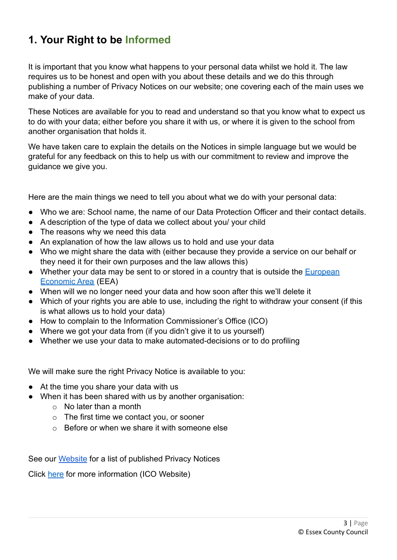# **1. Your Right to be Informed**

It is important that you know what happens to your personal data whilst we hold it. The law requires us to be honest and open with you about these details and we do this through publishing a number of Privacy Notices on our website; one covering each of the main uses we make of your data.

These Notices are available for you to read and understand so that you know what to expect us to do with your data; either before you share it with us, or where it is given to the school from another organisation that holds it.

We have taken care to explain the details on the Notices in simple language but we would be grateful for any feedback on this to help us with our commitment to review and improve the guidance we give you.

Here are the main things we need to tell you about what we do with your personal data:

- Who we are: School name, the name of our Data Protection Officer and their contact details.
- A description of the type of data we collect about you/ your child
- The reasons why we need this data
- An explanation of how the law allows us to hold and use your data
- Who we might share the data with (either because they provide a service on our behalf or they need it for their own purposes and the law allows this)
- Whether your data may be sent to or stored in a country that is outside the [European](https://www.gov.uk/eu-eea) [Economic Area](https://www.gov.uk/eu-eea) (EEA)
- When will we no longer need your data and how soon after this we'll delete it
- Which of your rights you are able to use, including the right to withdraw your consent (if this is what allows us to hold your data)
- How to complain to the Information Commissioner's Office (ICO)
- Where we got your data from (if you didn't give it to us yourself)
- Whether we use your data to make automated-decisions or to do profiling

We will make sure the right Privacy Notice is available to you:

- At the time you share your data with us
- When it has been shared with us by another organisation:
	- o No later than a month
	- $\circ$  The first time we contact you, or sooner
	- $\circ$  Before or when we share it with someone else

See our [Website](http://www.williamread.essex.sch.uk) for a list of published Privacy Notices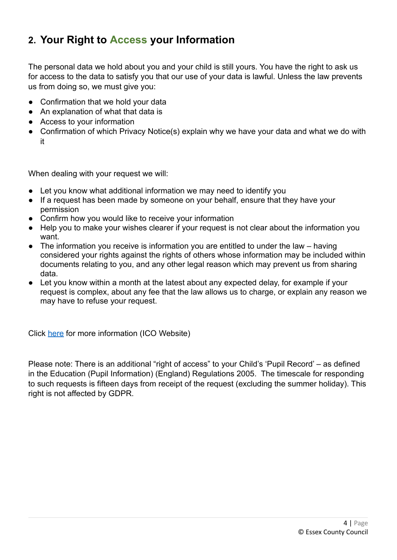### **2. Your Right to Access your Information**

The personal data we hold about you and your child is still yours. You have the right to ask us for access to the data to satisfy you that our use of your data is lawful. Unless the law prevents us from doing so, we must give you:

- Confirmation that we hold your data
- An explanation of what that data is
- Access to your information
- Confirmation of which Privacy Notice(s) explain why we have your data and what we do with it

When dealing with your request we will:

- Let you know what additional information we may need to identify you
- If a request has been made by someone on your behalf, ensure that they have your permission
- Confirm how you would like to receive your information
- Help you to make your wishes clearer if your request is not clear about the information you want.
- The information you receive is information you are entitled to under the law having considered your rights against the rights of others whose information may be included within documents relating to you, and any other legal reason which may prevent us from sharing data.
- Let you know within a month at the latest about any expected delay, for example if your request is complex, about any fee that the law allows us to charge, or explain any reason we may have to refuse your request.

Click [here](https://ico.org.uk/for-organisations/guide-to-the-general-data-protection-regulation-gdpr/individual-rights/right-of-access/) for more information (ICO Website)

Please note: There is an additional "right of access" to your Child's 'Pupil Record' – as defined in the Education (Pupil Information) (England) Regulations 2005. The timescale for responding to such requests is fifteen days from receipt of the request (excluding the summer holiday). This right is not affected by GDPR.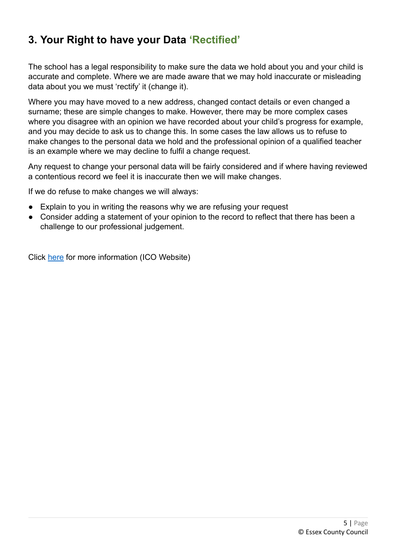# **3. Your Right to have your Data 'Rectified'**

The school has a legal responsibility to make sure the data we hold about you and your child is accurate and complete. Where we are made aware that we may hold inaccurate or misleading data about you we must 'rectify' it (change it).

Where you may have moved to a new address, changed contact details or even changed a surname; these are simple changes to make. However, there may be more complex cases where you disagree with an opinion we have recorded about your child's progress for example, and you may decide to ask us to change this. In some cases the law allows us to refuse to make changes to the personal data we hold and the professional opinion of a qualified teacher is an example where we may decline to fulfil a change request.

Any request to change your personal data will be fairly considered and if where having reviewed a contentious record we feel it is inaccurate then we will make changes.

If we do refuse to make changes we will always:

- Explain to you in writing the reasons why we are refusing your request
- Consider adding a statement of your opinion to the record to reflect that there has been a challenge to our professional judgement.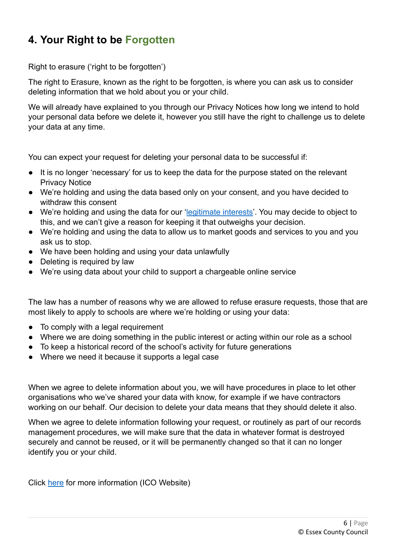# **4. Your Right to be Forgotten**

Right to erasure ('right to be forgotten')

The right to Erasure, known as the right to be forgotten, is where you can ask us to consider deleting information that we hold about you or your child.

We will already have explained to you through our Privacy Notices how long we intend to hold your personal data before we delete it, however you still have the right to challenge us to delete your data at any time.

You can expect your request for deleting your personal data to be successful if:

- It is no longer 'necessary' for us to keep the data for the purpose stated on the relevant Privacy Notice
- We're holding and using the data based only on your consent, and you have decided to withdraw this consent
- We're holding and using the data for our '[legitimate](https://ico.org.uk/for-organisations/guide-to-the-general-data-protection-regulation-gdpr/lawful-basis-for-processing/legitimate-interests/) interests'. You may decide to object to this, and we can't give a reason for keeping it that outweighs your decision.
- We're holding and using the data to allow us to market goods and services to you and you ask us to stop.
- We have been holding and using your data unlawfully
- Deleting is required by law
- We're using data about your child to support a chargeable online service

The law has a number of reasons why we are allowed to refuse erasure requests, those that are most likely to apply to schools are where we're holding or using your data:

- To comply with a legal requirement
- Where we are doing something in the public interest or acting within our role as a school
- To keep a historical record of the school's activity for future generations
- Where we need it because it supports a legal case

When we agree to delete information about you, we will have procedures in place to let other organisations who we've shared your data with know, for example if we have contractors working on our behalf. Our decision to delete your data means that they should delete it also.

When we agree to delete information following your request, or routinely as part of our records management procedures, we will make sure that the data in whatever format is destroyed securely and cannot be reused, or it will be permanently changed so that it can no longer identify you or your child.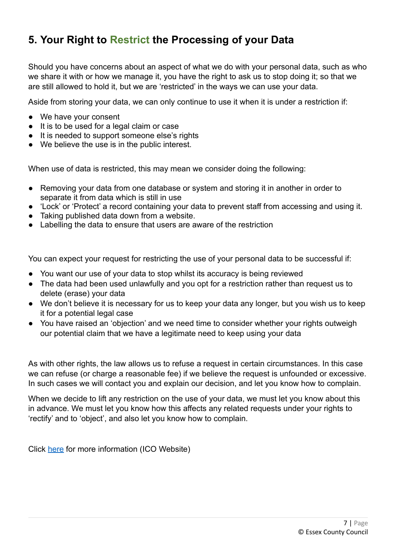## **5. Your Right to Restrict the Processing of your Data**

Should you have concerns about an aspect of what we do with your personal data, such as who we share it with or how we manage it, you have the right to ask us to stop doing it; so that we are still allowed to hold it, but we are 'restricted' in the ways we can use your data.

Aside from storing your data, we can only continue to use it when it is under a restriction if:

- We have your consent
- It is to be used for a legal claim or case
- It is needed to support someone else's rights
- We believe the use is in the public interest.

When use of data is restricted, this may mean we consider doing the following:

- Removing your data from one database or system and storing it in another in order to separate it from data which is still in use
- 'Lock' or 'Protect' a record containing your data to prevent staff from accessing and using it.
- Taking published data down from a website.
- Labelling the data to ensure that users are aware of the restriction

You can expect your request for restricting the use of your personal data to be successful if:

- You want our use of your data to stop whilst its accuracy is being reviewed
- The data had been used unlawfully and you opt for a restriction rather than request us to delete (erase) your data
- We don't believe it is necessary for us to keep your data any longer, but you wish us to keep it for a potential legal case
- You have raised an 'objection' and we need time to consider whether your rights outweigh our potential claim that we have a legitimate need to keep using your data

As with other rights, the law allows us to refuse a request in certain circumstances. In this case we can refuse (or charge a reasonable fee) if we believe the request is unfounded or excessive. In such cases we will contact you and explain our decision, and let you know how to complain.

When we decide to lift any restriction on the use of your data, we must let you know about this in advance. We must let you know how this affects any related requests under your rights to 'rectify' and to 'object', and also let you know how to complain.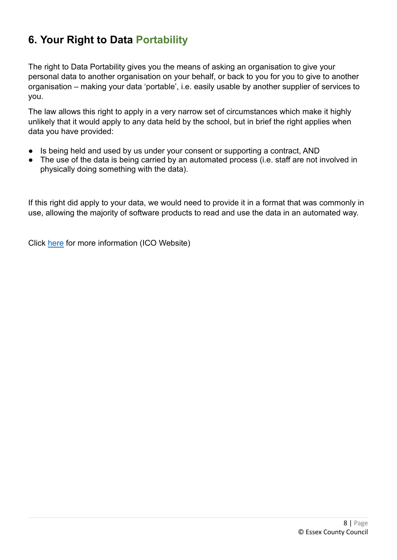# **6. Your Right to Data Portability**

The right to Data Portability gives you the means of asking an organisation to give your personal data to another organisation on your behalf, or back to you for you to give to another organisation – making your data 'portable', i.e. easily usable by another supplier of services to you.

The law allows this right to apply in a very narrow set of circumstances which make it highly unlikely that it would apply to any data held by the school, but in brief the right applies when data you have provided:

- Is being held and used by us under your consent or supporting a contract, AND
- The use of the data is being carried by an automated process (i.e. staff are not involved in physically doing something with the data).

If this right did apply to your data, we would need to provide it in a format that was commonly in use, allowing the majority of software products to read and use the data in an automated way.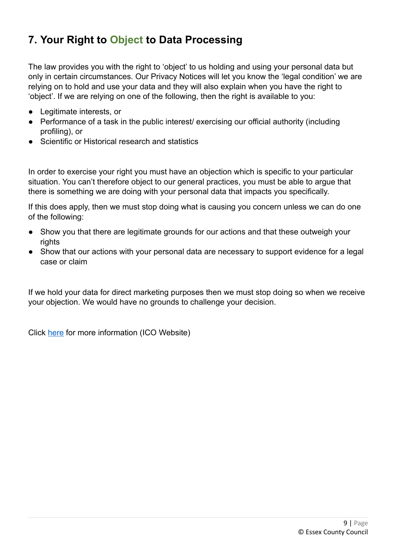# **7. Your Right to Object to Data Processing**

The law provides you with the right to 'object' to us holding and using your personal data but only in certain circumstances. Our Privacy Notices will let you know the 'legal condition' we are relying on to hold and use your data and they will also explain when you have the right to 'object'. If we are relying on one of the following, then the right is available to you:

- Legitimate interests, or
- Performance of a task in the public interest/ exercising our official authority (including profiling), or
- Scientific or Historical research and statistics

In order to exercise your right you must have an objection which is specific to your particular situation. You can't therefore object to our general practices, you must be able to argue that there is something we are doing with your personal data that impacts you specifically.

If this does apply, then we must stop doing what is causing you concern unless we can do one of the following:

- Show you that there are legitimate grounds for our actions and that these outweigh your rights
- Show that our actions with your personal data are necessary to support evidence for a legal case or claim

If we hold your data for direct marketing purposes then we must stop doing so when we receive your objection. We would have no grounds to challenge your decision.